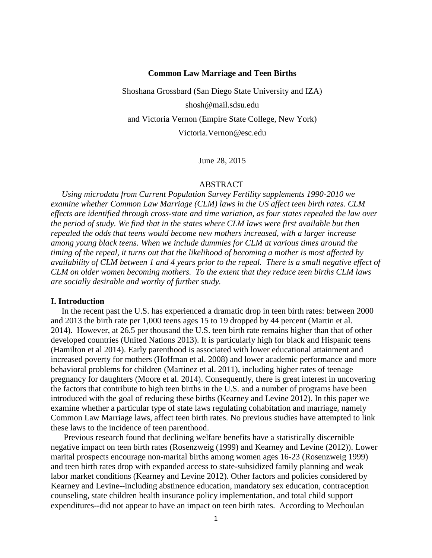# **Common Law Marriage and Teen Births**

Shoshana Grossbard (San Diego State University and IZA) shosh@mail.sdsu.edu and Victoria Vernon (Empire State College, New York) [Victoria.Vernon@esc.edu](mailto:Victoria.Vernon@esc.edu)

June 28, 2015

#### ABSTRACT

*Using microdata from Current Population Survey Fertility supplements 1990-2010 we examine whether Common Law Marriage (CLM) laws in the US affect teen birth rates. CLM effects are identified through cross-state and time variation, as four states repealed the law over the period of study. We find that in the states where CLM laws were first available but then repealed the odds that teens would become new mothers increased, with a larger increase among young black teens. When we include dummies for CLM at various times around the timing of the repeal, it turns out that the likelihood of becoming a mother is most affected by availability of CLM between 1 and 4 years prior to the repeal. There is a small negative effect of CLM on older women becoming mothers. To the extent that they reduce teen births CLM laws are socially desirable and worthy of further study.*

### **I. Introduction**

In the recent past the U.S. has experienced a dramatic drop in teen birth rates: between 2000 and 2013 the birth rate per 1,000 teens ages 15 to 19 dropped by 44 percent (Martin et al. 2014). However, at 26.5 per thousand the U.S. teen birth rate remains higher than that of other developed countries (United Nations 2013). It is particularly high for black and Hispanic teens (Hamilton et al 2014). Early parenthood is associated with lower educational attainment and increased poverty for mothers (Hoffman et al. 2008) and lower academic performance and more behavioral problems for children (Martinez et al. 2011), including higher rates of teenage pregnancy for daughters (Moore et al. 2014). Consequently, there is great interest in uncovering the factors that contribute to high teen births in the U.S. and a number of programs have been introduced with the goal of reducing these births (Kearney and Levine 2012). In this paper we examine whether a particular type of state laws regulating cohabitation and marriage, namely Common Law Marriage laws, affect teen birth rates. No previous studies have attempted to link these laws to the incidence of teen parenthood.

Previous research found that declining welfare benefits have a statistically discernible negative impact on teen birth rates (Rosenzweig (1999) and Kearney and Levine (2012)). Lower marital prospects encourage non-marital births among women ages 16-23 (Rosenzweig 1999) and teen birth rates drop with expanded access to state-subsidized family planning and weak labor market conditions (Kearney and Levine 2012). Other factors and policies considered by Kearney and Levine--including abstinence education, mandatory sex education, contraception counseling, state children health insurance policy implementation, and total child support expenditures--did not appear to have an impact on teen birth rates. According to Mechoulan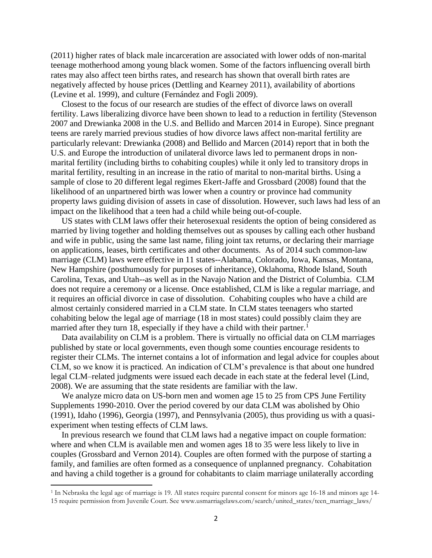(2011) higher rates of black male incarceration are associated with lower odds of non-marital teenage motherhood among young black women. Some of the factors influencing overall birth rates may also affect teen births rates, and research has shown that overall birth rates are negatively affected by house prices (Dettling and Kearney 2011), availability of abortions (Levine et al. 1999), and culture (Fernández and Fogli 2009).

Closest to the focus of our research are studies of the effect of divorce laws on overall fertility. Laws liberalizing divorce have been shown to lead to a reduction in fertility (Stevenson 2007 and Drewianka 2008 in the U.S. and Bellido and Marcen 2014 in Europe). Since pregnant teens are rarely married previous studies of how divorce laws affect non-marital fertility are particularly relevant: Drewianka (2008) and Bellido and Marcen (2014) report that in both the U.S. and Europe the introduction of unilateral divorce laws led to permanent drops in nonmarital fertility (including births to cohabiting couples) while it only led to transitory drops in marital fertility, resulting in an increase in the ratio of marital to non-marital births. Using a sample of close to 20 different legal regimes Ekert-Jaffe and Grossbard (2008) found that the likelihood of an unpartnered birth was lower when a country or province had community property laws guiding division of assets in case of dissolution. However, such laws had less of an impact on the likelihood that a teen had a child while being out-of-couple.

US states with CLM laws offer their heterosexual residents the option of being considered as married by living together and holding themselves out as spouses by calling each other husband and wife in public, using the same last name, filing joint tax returns, or declaring their marriage on applications, leases, birth certificates and other documents. As of 2014 such common-law marriage (CLM) laws were effective in 11 states--Alabama, Colorado, Iowa, Kansas, Montana, New Hampshire (posthumously for purposes of inheritance), Oklahoma, Rhode Island, South Carolina, Texas, and Utah--as well as in the Navajo Nation and the District of Columbia. CLM does not require a ceremony or a license. Once established, CLM is like a regular marriage, and it requires an official divorce in case of dissolution. Cohabiting couples who have a child are almost certainly considered married in a CLM state. In CLM states teenagers who started cohabiting below the legal age of marriage (18 in most states) could possibly claim they are married after they turn 18, especially if they have a child with their partner.<sup>1</sup>

Data availability on CLM is a problem. There is virtually no official data on CLM marriages published by state or local governments, even though some counties encourage residents to register their CLMs. The internet contains a lot of information and legal advice for couples about CLM, so we know it is practiced. An indication of CLM's prevalence is that about one hundred legal CLM–related judgments were issued each decade in each state at the federal level (Lind, 2008). We are assuming that the state residents are familiar with the law.

We analyze micro data on US-born men and women age 15 to 25 from CPS June Fertility Supplements 1990-2010. Over the period covered by our data CLM was abolished by Ohio (1991), Idaho (1996), Georgia (1997), and Pennsylvania (2005), thus providing us with a quasiexperiment when testing effects of CLM laws.

In previous research we found that CLM laws had a negative impact on couple formation: where and when CLM is available men and women ages 18 to 35 were less likely to live in couples (Grossbard and Vernon 2014). Couples are often formed with the purpose of starting a family, and families are often formed as a consequence of unplanned pregnancy. Cohabitation and having a child together is a ground for cohabitants to claim marriage unilaterally according

 $\overline{\phantom{a}}$ 

<sup>1</sup> In Nebraska the legal age of marriage is 19. All states require parental consent for minors age 16-18 and minors age 14- 15 require permission from Juvenile Court. See www.usmarriagelaws.com/search/united\_states/teen\_marriage\_laws/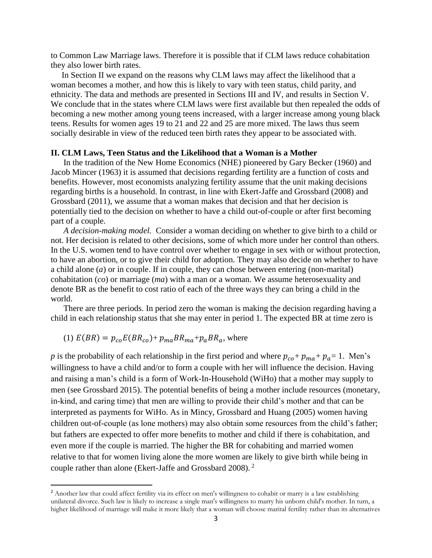to Common Law Marriage laws. Therefore it is possible that if CLM laws reduce cohabitation they also lower birth rates.

In Section II we expand on the reasons why CLM laws may affect the likelihood that a woman becomes a mother, and how this is likely to vary with teen status, child parity, and ethnicity. The data and methods are presented in Sections III and IV, and results in Section V. We conclude that in the states where CLM laws were first available but then repealed the odds of becoming a new mother among young teens increased, with a larger increase among young black teens. Results for women ages 19 to 21 and 22 and 25 are more mixed. The laws thus seem socially desirable in view of the reduced teen birth rates they appear to be associated with.

# **II. CLM Laws, Teen Status and the Likelihood that a Woman is a Mother**

In the tradition of the New Home Economics (NHE) pioneered by Gary Becker (1960) and Jacob Mincer (1963) it is assumed that decisions regarding fertility are a function of costs and benefits. However, most economists analyzing fertility assume that the unit making decisions regarding births is a household. In contrast, in line with Ekert-Jaffe and Grossbard (2008) and Grossbard (2011), we assume that a woman makes that decision and that her decision is potentially tied to the decision on whether to have a child out-of-couple or after first becoming part of a couple.

*A decision-making model.* Consider a woman deciding on whether to give birth to a child or not. Her decision is related to other decisions, some of which more under her control than others. In the U.S. women tend to have control over whether to engage in sex with or without protection, to have an abortion, or to give their child for adoption. They may also decide on whether to have a child alone (*a*) or in couple. If in couple, they can chose between entering (non-marital) cohabitation (*co*) or marriage (*ma*) with a man or a woman. We assume heterosexuality and denote BR as the benefit to cost ratio of each of the three ways they can bring a child in the world.

There are three periods. In period zero the woman is making the decision regarding having a child in each relationship status that she may enter in period 1. The expected BR at time zero is

# (1)  $E(BR) = p_{co}E(BR_{co}) + p_{ma}BR_{ma} + p_{a}BR_{a}$ , where

 $\overline{\phantom{a}}$ 

*p* is the probability of each relationship in the first period and where  $p_{co} + p_{ma} + p_a = 1$ . Men's willingness to have a child and/or to form a couple with her will influence the decision. Having and raising a man's child is a form of Work-In-Household (WiHo) that a mother may supply to men (see Grossbard 2015). The potential benefits of being a mother include resources (monetary, in-kind, and caring time) that men are willing to provide their child's mother and that can be interpreted as payments for WiHo. As in Mincy, Grossbard and Huang (2005) women having children out-of-couple (as lone mothers) may also obtain some resources from the child's father; but fathers are expected to offer more benefits to mother and child if there is cohabitation, and even more if the couple is married. The higher the BR for cohabiting and married women relative to that for women living alone the more women are likely to give birth while being in couple rather than alone (Ekert-Jaffe and Grossbard 2008). <sup>2</sup>

<sup>&</sup>lt;sup>2</sup> Another law that could affect fertility via its effect on men's willingness to cohabit or marry is a law establishing unilateral divorce. Such law is likely to increase a single man's willingness to marry his unborn child's mother. In turn, a higher likelihood of marriage will make it more likely that a woman will choose marital fertility rather than its alternatives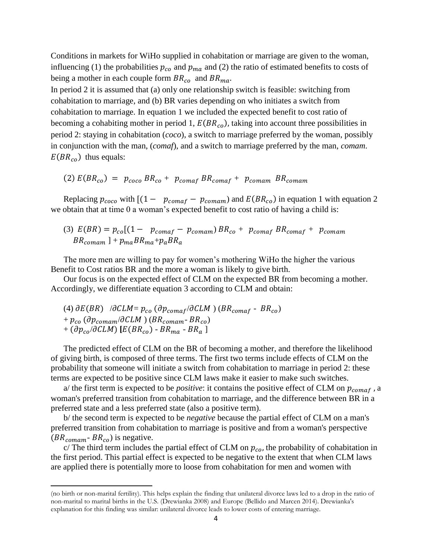Conditions in markets for WiHo supplied in cohabitation or marriage are given to the woman, influencing (1) the probabilities  $p_{co}$  and  $p_{ma}$  and (2) the ratio of estimated benefits to costs of being a mother in each couple form  $BR_{co}$  and  $BR_{ma}$ .

In period 2 it is assumed that (a) only one relationship switch is feasible: switching from cohabitation to marriage, and (b) BR varies depending on who initiates a switch from cohabitation to marriage. In equation 1 we included the expected benefit to cost ratio of becoming a cohabiting mother in period 1,  $E(BR_{co})$ , taking into account three possibilities in period 2: staying in cohabitation (*coco*), a switch to marriage preferred by the woman, possibly in conjunction with the man, (*comaf*), and a switch to marriage preferred by the man, *comam*.  $E(BR_{co})$  thus equals:

$$
(2) E(BR_{co}) = p_{coco} BR_{co} + p_{comaf} BR_{comaf} + p_{comam} BR_{comam}
$$

Replacing  $p_{coco}$  with  $[(1 - p_{comaf} - p_{comam})$  and  $E(BR_{co})$  in equation 1 with equation 2 we obtain that at time 0 a woman's expected benefit to cost ratio of having a child is:

(3)  $E(BR) = p_{co}[(1 - p_{comaf} - p_{comam})BR_{co} + p_{comaf} BR_{comaf} + p_{comam}]$  $BR_{comam}$ ] +  $p_{ma}BR_{ma}$ + $p_aBR_a$ 

The more men are willing to pay for women's mothering WiHo the higher the various Benefit to Cost ratios BR and the more a woman is likely to give birth.

Our focus is on the expected effect of CLM on the expected BR from becoming a mother. Accordingly, we differentiate equation 3 according to CLM and obtain:

(4)  $\partial E(BR)$  / $\partial CLM = p_{co}$  ( $\partial p_{comaf}/\partial CLM$ ) ( $BR_{comaf}$  -  $BR_{co}$ ) +  $p_{co}$  ( $\partial p_{comm}/\partial CLM$ ) ( $BR_{comm}$ -  $BR_{co}$ )  $+$  ( $\partial p_{co}/\partial CLM$ ) [ $E(BR_{co})$  -  $BR_{ma}$  -  $BR_a$  ]

l

The predicted effect of CLM on the BR of becoming a mother, and therefore the likelihood of giving birth, is composed of three terms. The first two terms include effects of CLM on the probability that someone will initiate a switch from cohabitation to marriage in period 2: these terms are expected to be positive since CLM laws make it easier to make such switches.

a/ the first term is expected to be *positive*: it contains the positive effect of CLM on  $p_{comaf}$ , a woman's preferred transition from cohabitation to marriage, and the difference between BR in a preferred state and a less preferred state (also a positive term).

b/ the second term is expected to be *negative* because the partial effect of CLM on a man's preferred transition from cohabitation to marriage is positive and from a woman's perspective  $(BR_{comm} - BR_{co})$  is negative.

c/ The third term includes the partial effect of CLM on  $p_{co}$ , the probability of cohabitation in the first period. This partial effect is expected to be negative to the extent that when CLM laws are applied there is potentially more to loose from cohabitation for men and women with

<sup>(</sup>no birth or non-marital fertility). This helps explain the finding that unilateral divorce laws led to a drop in the ratio of non-marital to marital births in the U.S. (Drewianka 2008) and Europe (Bellido and Marcen 2014). Drewianka's explanation for this finding was similar: unilateral divorce leads to lower costs of entering marriage.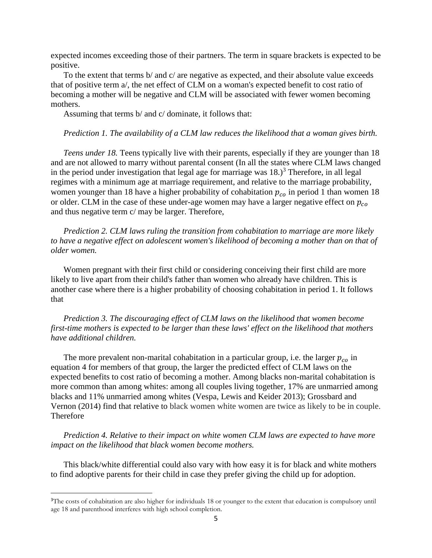expected incomes exceeding those of their partners. The term in square brackets is expected to be positive.

To the extent that terms b/ and c/ are negative as expected, and their absolute value exceeds that of positive term a/, the net effect of CLM on a woman's expected benefit to cost ratio of becoming a mother will be negative and CLM will be associated with fewer women becoming mothers.

Assuming that terms b/ and c/ dominate, it follows that:

# *Prediction 1. The availability of a CLM law reduces the likelihood that a woman gives birth.*

*Teens under 18.* Teens typically live with their parents, especially if they are younger than 18 and are not allowed to marry without parental consent (In all the states where CLM laws changed in the period under investigation that legal age for marriage was  $18.$ )<sup>3</sup> Therefore, in all legal regimes with a minimum age at marriage requirement, and relative to the marriage probability, women younger than 18 have a higher probability of cohabitation  $p_{co}$  in period 1 than women 18 or older. CLM in the case of these under-age women may have a larger negative effect on  $p_{co}$ and thus negative term c/ may be larger. Therefore,

*Prediction 2. CLM laws ruling the transition from cohabitation to marriage are more likely to have a negative effect on adolescent women's likelihood of becoming a mother than on that of older women.*

Women pregnant with their first child or considering conceiving their first child are more likely to live apart from their child's father than women who already have children. This is another case where there is a higher probability of choosing cohabitation in period 1. It follows that

*Prediction 3. The discouraging effect of CLM laws on the likelihood that women become first-time mothers is expected to be larger than these laws' effect on the likelihood that mothers have additional children.*

The more prevalent non-marital cohabitation in a particular group, i.e. the larger  $p_{co}$  in equation 4 for members of that group, the larger the predicted effect of CLM laws on the expected benefits to cost ratio of becoming a mother. Among blacks non-marital cohabitation is more common than among whites: among all couples living together, 17% are unmarried among blacks and 11% unmarried among whites (Vespa, Lewis and Keider 2013); Grossbard and Vernon (2014) find that relative to black women white women are twice as likely to be in couple. Therefore

*Prediction 4. Relative to their impact on white women CLM laws are expected to have more impact on the likelihood that black women become mothers.*

This black/white differential could also vary with how easy it is for black and white mothers to find adoptive parents for their child in case they prefer giving the child up for adoption.

 $\overline{\phantom{a}}$ 

<sup>&</sup>lt;sup>3</sup>The costs of cohabitation are also higher for individuals 18 or younger to the extent that education is compulsory until age 18 and parenthood interferes with high school completion.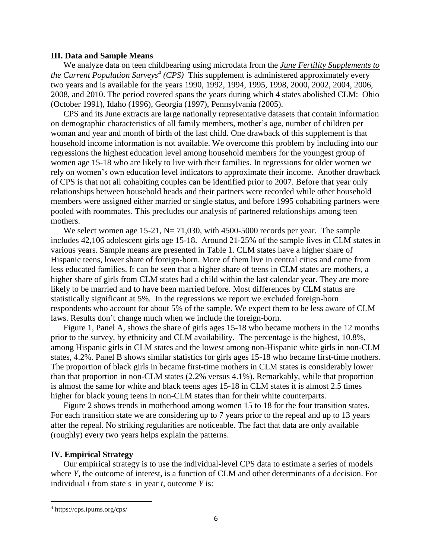#### **III. Data and Sample Means**

We analyze data on teen childbearing using microdata from the *June Fertility Supplements to the Current Population Surveys<sup>4</sup> (CPS)* This supplement is administered approximately every two years and is available for the years 1990, 1992, 1994, 1995, 1998, 2000, 2002, 2004, 2006, 2008, and 2010. The period covered spans the years during which 4 states abolished CLM: Ohio (October 1991), Idaho (1996), Georgia (1997), Pennsylvania (2005).

CPS and its June extracts are large nationally representative datasets that contain information on demographic characteristics of all family members, mother's age, number of children per woman and year and month of birth of the last child. One drawback of this supplement is that household income information is not available. We overcome this problem by including into our regressions the highest education level among household members for the youngest group of women age 15-18 who are likely to live with their families. In regressions for older women we rely on women's own education level indicators to approximate their income. Another drawback of CPS is that not all cohabiting couples can be identified prior to 2007. Before that year only relationships between household heads and their partners were recorded while other household members were assigned either married or single status, and before 1995 cohabiting partners were pooled with roommates. This precludes our analysis of partnered relationships among teen mothers.

We select women age 15-21,  $N = 71,030$ , with 4500-5000 records per year. The sample includes 42,106 adolescent girls age 15-18. Around 21-25% of the sample lives in CLM states in various years. Sample means are presented in Table 1. CLM states have a higher share of Hispanic teens, lower share of foreign-born. More of them live in central cities and come from less educated families. It can be seen that a higher share of teens in CLM states are mothers, a higher share of girls from CLM states had a child within the last calendar year. They are more likely to be married and to have been married before. Most differences by CLM status are statistically significant at 5%. In the regressions we report we excluded foreign-born respondents who account for about 5% of the sample. We expect them to be less aware of CLM laws. Results don't change much when we include the foreign-born.

Figure 1, Panel A, shows the share of girls ages 15-18 who became mothers in the 12 months prior to the survey, by ethnicity and CLM availability. The percentage is the highest, 10.8%, among Hispanic girls in CLM states and the lowest among non-Hispanic white girls in non-CLM states, 4.2%. Panel B shows similar statistics for girls ages 15-18 who became first-time mothers. The proportion of black girls in became first-time mothers in CLM states is considerably lower than that proportion in non-CLM states (2.2% versus 4.1%). Remarkably, while that proportion is almost the same for white and black teens ages 15-18 in CLM states it is almost 2.5 times higher for black young teens in non-CLM states than for their white counterparts.

Figure 2 shows trends in motherhood among women 15 to 18 for the four transition states. For each transition state we are considering up to 7 years prior to the repeal and up to 13 years after the repeal. No striking regularities are noticeable. The fact that data are only available (roughly) every two years helps explain the patterns.

# **IV. Empirical Strategy**

Our empirical strategy is to use the individual-level CPS data to estimate a series of models where *Y*, the outcome of interest, is a function of CLM and other determinants of a decision. For individual *i* from state *s* in year *t*, outcome *Y* is:

 $\overline{\phantom{a}}$ 

<sup>4</sup> https://cps.ipums.org/cps/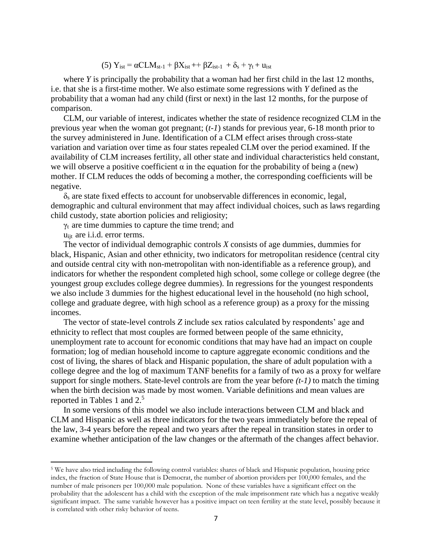(5)  $Y_{\text{ist}} = \alpha CLM_{\text{st-1}} + \beta X_{\text{ist}} + \beta Z_{\text{ist-1}} + \delta_s + \gamma_t + u_{\text{ist}}$ 

where *Y* is principally the probability that a woman had her first child in the last 12 months, i.e. that she is a first-time mother. We also estimate some regressions with *Y* defined as the probability that a woman had any child (first or next) in the last 12 months, for the purpose of comparison.

CLM, our variable of interest, indicates whether the state of residence recognized CLM in the previous year when the woman got pregnant; (*t-1*) stands for previous year, 6-18 month prior to the survey administered in June. Identification of a CLM effect arises through cross-state variation and variation over time as four states repealed CLM over the period examined. If the availability of CLM increases fertility, all other state and individual characteristics held constant, we will observe a positive coefficient  $\alpha$  in the equation for the probability of being a (new) mother. If CLM reduces the odds of becoming a mother, the corresponding coefficients will be negative.

 $\delta_s$  are state fixed effects to account for unobservable differences in economic, legal, demographic and cultural environment that may affect individual choices, such as laws regarding child custody, state abortion policies and religiosity;

 $\gamma_t$  are time dummies to capture the time trend; and

uijt are i.i.d. error terms.

 $\overline{\phantom{a}}$ 

The vector of individual demographic controls *X* consists of age dummies, dummies for black, Hispanic, Asian and other ethnicity, two indicators for metropolitan residence (central city and outside central city with non-metropolitan with non-identifiable as a reference group), and indicators for whether the respondent completed high school, some college or college degree (the youngest group excludes college degree dummies). In regressions for the youngest respondents we also include 3 dummies for the highest educational level in the household (no high school, college and graduate degree, with high school as a reference group) as a proxy for the missing incomes.

The vector of state-level controls *Z* include sex ratios calculated by respondents' age and ethnicity to reflect that most couples are formed between people of the same ethnicity, unemployment rate to account for economic conditions that may have had an impact on couple formation; log of median household income to capture aggregate economic conditions and the cost of living, the shares of black and Hispanic population, the share of adult population with a college degree and the log of maximum TANF benefits for a family of two as a proxy for welfare support for single mothers. State-level controls are from the year before *(t-1)* to match the timing when the birth decision was made by most women. Variable definitions and mean values are reported in Tables 1 and 2.<sup>5</sup>

In some versions of this model we also include interactions between CLM and black and CLM and Hispanic as well as three indicators for the two years immediately before the repeal of the law, 3-4 years before the repeal and two years after the repeal in transition states in order to examine whether anticipation of the law changes or the aftermath of the changes affect behavior.

<sup>5</sup> We have also tried including the following control variables: shares of black and Hispanic population, housing price index, the fraction of State House that is Democrat, the number of abortion providers per 100,000 females, and the number of male prisoners per 100,000 male population. None of these variables have a significant effect on the probability that the adolescent has a child with the exception of the male imprisonment rate which has a negative weakly significant impact. The same variable however has a positive impact on teen fertility at the state level, possibly because it is correlated with other risky behavior of teens.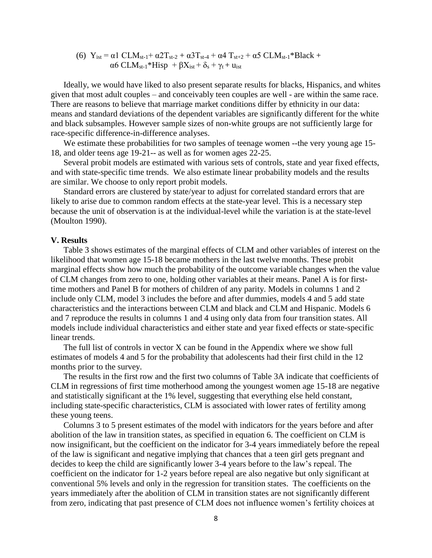(6) 
$$
Y_{ist} = \alpha 1 \, CLM_{st-1} + \alpha 2T_{st-2} + \alpha 3T_{st-4} + \alpha 4 \, T_{st+2} + \alpha 5 \, CLM_{st-1} * Black + \alpha 6 \, CLM_{st-1} * Hisp + \beta X_{ist} + \delta_s + \gamma_t + u_{ist}
$$

Ideally, we would have liked to also present separate results for blacks, Hispanics, and whites given that most adult couples – and conceivably teen couples are well - are within the same race. There are reasons to believe that marriage market conditions differ by ethnicity in our data: means and standard deviations of the dependent variables are significantly different for the white and black subsamples. However sample sizes of non-white groups are not sufficiently large for race-specific difference-in-difference analyses.

We estimate these probabilities for two samples of teenage women --the very young age 15- 18, and older teens age 19-21-- as well as for women ages 22-25.

Several probit models are estimated with various sets of controls, state and year fixed effects, and with state-specific time trends. We also estimate linear probability models and the results are similar. We choose to only report probit models.

Standard errors are clustered by state/year to adjust for correlated standard errors that are likely to arise due to common random effects at the state-year level. This is a necessary step because the unit of observation is at the individual-level while the variation is at the state-level (Moulton 1990).

# **V. Results**

Table 3 shows estimates of the marginal effects of CLM and other variables of interest on the likelihood that women age 15-18 became mothers in the last twelve months. These probit marginal effects show how much the probability of the outcome variable changes when the value of CLM changes from zero to one, holding other variables at their means. Panel A is for firsttime mothers and Panel B for mothers of children of any parity. Models in columns 1 and 2 include only CLM, model 3 includes the before and after dummies, models 4 and 5 add state characteristics and the interactions between CLM and black and CLM and Hispanic. Models 6 and 7 reproduce the results in columns 1 and 4 using only data from four transition states. All models include individual characteristics and either state and year fixed effects or state-specific linear trends.

The full list of controls in vector X can be found in the Appendix where we show full estimates of models 4 and 5 for the probability that adolescents had their first child in the 12 months prior to the survey.

The results in the first row and the first two columns of Table 3A indicate that coefficients of CLM in regressions of first time motherhood among the youngest women age 15-18 are negative and statistically significant at the 1% level, suggesting that everything else held constant, including state-specific characteristics, CLM is associated with lower rates of fertility among these young teens.

Columns 3 to 5 present estimates of the model with indicators for the years before and after abolition of the law in transition states, as specified in equation 6. The coefficient on CLM is now insignificant, but the coefficient on the indicator for 3-4 years immediately before the repeal of the law is significant and negative implying that chances that a teen girl gets pregnant and decides to keep the child are significantly lower 3-4 years before to the law's repeal. The coefficient on the indicator for 1-2 years before repeal are also negative but only significant at conventional 5% levels and only in the regression for transition states. The coefficients on the years immediately after the abolition of CLM in transition states are not significantly different from zero, indicating that past presence of CLM does not influence women's fertility choices at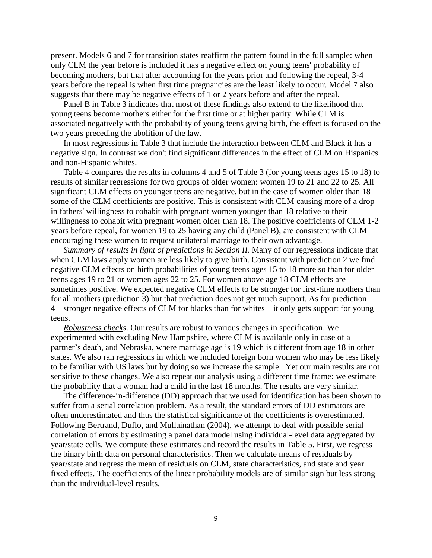present. Models 6 and 7 for transition states reaffirm the pattern found in the full sample: when only CLM the year before is included it has a negative effect on young teens' probability of becoming mothers, but that after accounting for the years prior and following the repeal, 3-4 years before the repeal is when first time pregnancies are the least likely to occur. Model 7 also suggests that there may be negative effects of 1 or 2 years before and after the repeal.

Panel B in Table 3 indicates that most of these findings also extend to the likelihood that young teens become mothers either for the first time or at higher parity. While CLM is associated negatively with the probability of young teens giving birth, the effect is focused on the two years preceding the abolition of the law.

In most regressions in Table 3 that include the interaction between CLM and Black it has a negative sign. In contrast we don't find significant differences in the effect of CLM on Hispanics and non-Hispanic whites.

Table 4 compares the results in columns 4 and 5 of Table 3 (for young teens ages 15 to 18) to results of similar regressions for two groups of older women: women 19 to 21 and 22 to 25. All significant CLM effects on younger teens are negative, but in the case of women older than 18 some of the CLM coefficients are positive. This is consistent with CLM causing more of a drop in fathers' willingness to cohabit with pregnant women younger than 18 relative to their willingness to cohabit with pregnant women older than 18. The positive coefficients of CLM 1-2 years before repeal, for women 19 to 25 having any child (Panel B), are consistent with CLM encouraging these women to request unilateral marriage to their own advantage.

*Summary of results in light of predictions in Section II.* Many of our regressions indicate that when CLM laws apply women are less likely to give birth. Consistent with prediction 2 we find negative CLM effects on birth probabilities of young teens ages 15 to 18 more so than for older teens ages 19 to 21 or women ages 22 to 25. For women above age 18 CLM effects are sometimes positive. We expected negative CLM effects to be stronger for first-time mothers than for all mothers (prediction 3) but that prediction does not get much support. As for prediction 4—stronger negative effects of CLM for blacks than for whites—it only gets support for young teens.

*Robustness checks*. Our results are robust to various changes in specification. We experimented with excluding New Hampshire, where CLM is available only in case of a partner's death, and Nebraska, where marriage age is 19 which is different from age 18 in other states. We also ran regressions in which we included foreign born women who may be less likely to be familiar with US laws but by doing so we increase the sample. Yet our main results are not sensitive to these changes. We also repeat out analysis using a different time frame: we estimate the probability that a woman had a child in the last 18 months. The results are very similar.

The difference-in-difference (DD) approach that we used for identification has been shown to suffer from a serial correlation problem. As a result, the standard errors of DD estimators are often underestimated and thus the statistical significance of the coefficients is overestimated. Following Bertrand, Duflo, and [Mullainathan](http://www.nber.org/people/sendhil_mullainathan) (2004), we attempt to deal with possible serial correlation of errors by estimating a panel data model using individual-level data aggregated by year/state cells. We compute these estimates and record the results in Table 5. First, we regress the binary birth data on personal characteristics. Then we calculate means of residuals by year/state and regress the mean of residuals on CLM, state characteristics, and state and year fixed effects. The coefficients of the linear probability models are of similar sign but less strong than the individual-level results.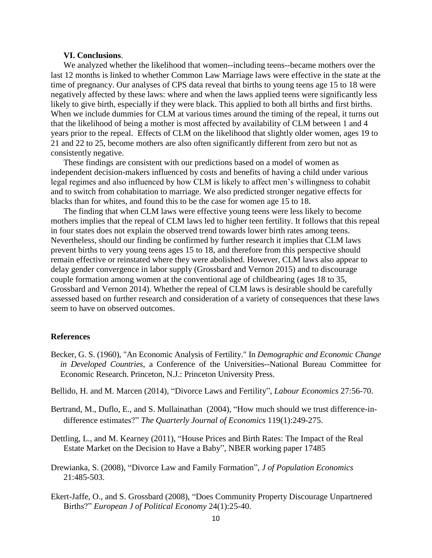# **VI. Conclusions**.

We analyzed whether the likelihood that women--including teens--became mothers over the last 12 months is linked to whether Common Law Marriage laws were effective in the state at the time of pregnancy. Our analyses of CPS data reveal that births to young teens age 15 to 18 were negatively affected by these laws: where and when the laws applied teens were significantly less likely to give birth, especially if they were black. This applied to both all births and first births. When we include dummies for CLM at various times around the timing of the repeal, it turns out that the likelihood of being a mother is most affected by availability of CLM between 1 and 4 years prior to the repeal. Effects of CLM on the likelihood that slightly older women, ages 19 to 21 and 22 to 25, become mothers are also often significantly different from zero but not as consistently negative.

These findings are consistent with our predictions based on a model of women as independent decision-makers influenced by costs and benefits of having a child under various legal regimes and also influenced by how CLM is likely to affect men's willingness to cohabit and to switch from cohabitation to marriage. We also predicted stronger negative effects for blacks than for whites, and found this to be the case for women age 15 to 18.

The finding that when CLM laws were effective young teens were less likely to become mothers implies that the repeal of CLM laws led to higher teen fertility. It follows that this repeal in four states does not explain the observed trend towards lower birth rates among teens. Nevertheless, should our finding be confirmed by further research it implies that CLM laws prevent births to very young teens ages 15 to 18, and therefore from this perspective should remain effective or reinstated where they were abolished. However, CLM laws also appear to delay gender convergence in labor supply (Grossbard and Vernon 2015) and to discourage couple formation among women at the conventional age of childbearing (ages 18 to 35, Grossbard and Vernon 2014). Whether the repeal of CLM laws is desirable should be carefully assessed based on further research and consideration of a variety of consequences that these laws seem to have on observed outcomes.

### **References**

- Becker, G. S. (1960), "An Economic Analysis of Fertility." In *Demographic and Economic Change in Developed Countries*, a Conference of the Universities--National Bureau Committee for Economic Research. Princeton, N.J.: Princeton University Press.
- Bellido, H. and M. Marcen (2014), "Divorce Laws and Fertility", *Labour Economics* 27:56-70.
- Bertrand, M., Duflo, E., and S. [Mullainathan](http://www.nber.org/people/sendhil_mullainathan) (2004), "How much should we trust difference-indifference estimates?" *The Quarterly Journal of Economics* 119(1):249-275.
- Dettling, L., and M. Kearney (2011), "House Prices and Birth Rates: The Impact of the Real Estate Market on the Decision to Have a Baby", NBER working paper 17485
- Drewianka, S. (2008), "Divorce Law and Family Formation", *J of Population Economics* 21:485-503.
- Ekert-Jaffe, O., and S. Grossbard (2008), "Does Community Property Discourage Unpartnered Births?" *European J of Political Economy* 24(1):25-40.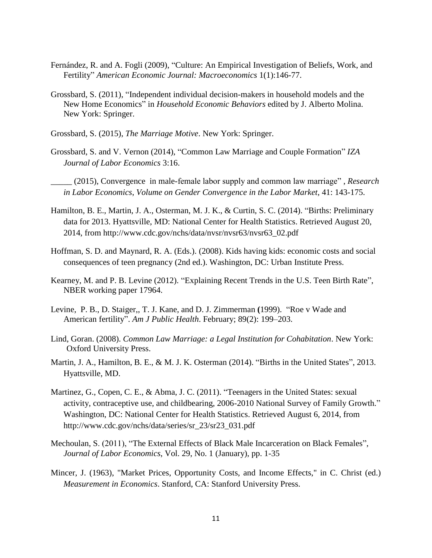- Fernández, R. and A. Fogli (2009), "Culture: An Empirical Investigation of Beliefs, Work, and Fertility" *American Economic Journal: Macroeconomics* 1(1):146-77.
- Grossbard, S. (2011), "Independent individual decision-makers in household models and the New Home Economics" in *Household Economic Behaviors* edited by J. Alberto Molina. New York: Springer.
- Grossbard, S. (2015), *The Marriage Motive*. New York: Springer.
- Grossbard, S. and V. Vernon (2014), "Common Law Marriage and Couple Formation" *IZA Journal of Labor Economics* 3:16.
- \_\_\_\_\_ (2015), Convergence in male-female labor supply and common law marriage" , *Research in Labor Economics*, *Volume on Gender Convergence in the Labor Market*, 41: 143-175.
- Hamilton, B. E., Martin, J. A., Osterman, M. J. K., & Curtin, S. C. (2014). "Births: Preliminary data for 2013. Hyattsville, MD: National Center for Health Statistics. Retrieved August 20, 2014, from http://www.cdc.gov/nchs/data/nvsr/nvsr63/nvsr63\_02.pdf
- Hoffman, S. D. and Maynard, R. A. (Eds.). (2008). Kids having kids: economic costs and social consequences of teen pregnancy (2nd ed.). Washington, DC: Urban Institute Press.
- Kearney, M. and P. B. Levine (2012). "Explaining Recent Trends in the U.S. Teen Birth Rate", NBER working paper 17964.
- Levine, P. B., D. Staiger,, T. J. Kane, and D. J. Zimmerman **(**1999). "Roe v Wade and American fertility". *Am J Public Health*. February; 89(2): 199–203.
- Lind, Goran. (2008). *Common Law Marriage: a Legal Institution for Cohabitation*. New York: Oxford University Press.
- Martin, J. A., Hamilton, B. E., & M. J. K. Osterman (2014). "Births in the United States", 2013. Hyattsville, MD.
- Martinez, G., Copen, C. E., & Abma, J. C. (2011). "Teenagers in the United States: sexual activity, contraceptive use, and childbearing, 2006-2010 National Survey of Family Growth." Washington, DC: National Center for Health Statistics. Retrieved August 6, 2014, from [http://www.cdc.gov/nchs/data/series/sr\\_23/sr23\\_031.pdf](http://www.cdc.gov/nchs/data/series/sr_23/sr23_031.pdf)
- Mechoulan, S. (2011), "The External Effects of Black Male Incarceration on Black Females", *Journal of Labor Economics*, Vol. 29, No. 1 (January), pp. 1-35
- Mincer, J. (1963), "Market Prices, Opportunity Costs, and Income Effects," in C. Christ (ed.) *Measurement in Economics*. Stanford, CA: Stanford University Press.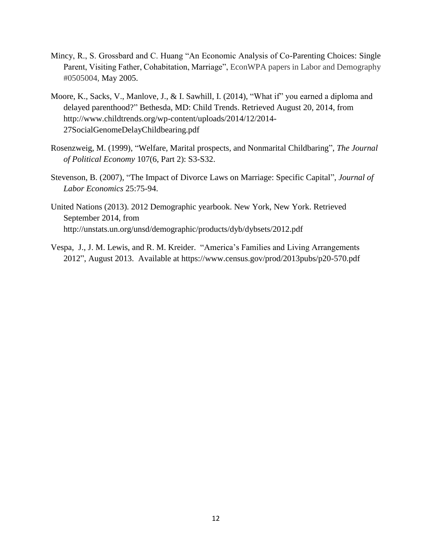- Mincy, R., S. Grossbard and C. Huang "An Economic Analysis of Co-Parenting Choices: Single Parent, Visiting Father, Cohabitation, Marriage", EconWPA papers in Labor and Demography #0505004, May 2005.
- Moore, K., Sacks, V., Manlove, J., & I. Sawhill, I. (2014), "What if" you earned a diploma and delayed parenthood?" Bethesda, MD: Child Trends. Retrieved August 20, 2014, from http://www.childtrends.org/wp-content/uploads/2014/12/2014- 27SocialGenomeDelayChildbearing.pdf
- Rosenzweig, M. (1999), "Welfare, Marital prospects, and Nonmarital Childbaring", *The Journal of Political Economy* 107(6, Part 2): S3-S32.
- Stevenson, B. (2007), "The Impact of Divorce Laws on Marriage: Specific Capital", *Journal of Labor Economics* 25:75-94.
- United Nations (2013). 2012 Demographic yearbook. New York, New York. Retrieved September 2014, from <http://unstats.un.org/unsd/demographic/products/dyb/dybsets/2012.pdf>
- Vespa, J., J. M. Lewis, and R. M. Kreider. "America's Families and Living Arrangements 2012", August 2013. Available at https://www.census.gov/prod/2013pubs/p20-570.pdf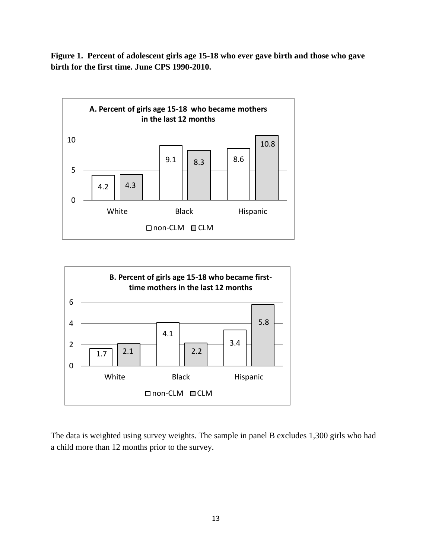**Figure 1. Percent of adolescent girls age 15-18 who ever gave birth and those who gave birth for the first time. June CPS 1990-2010.**





The data is weighted using survey weights. The sample in panel B excludes 1,300 girls who had a child more than 12 months prior to the survey.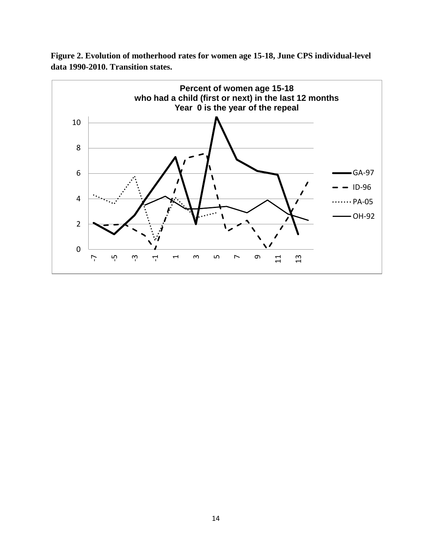

**Figure 2. Evolution of motherhood rates for women age 15-18, June CPS individual-level data 1990-2010. Transition states.**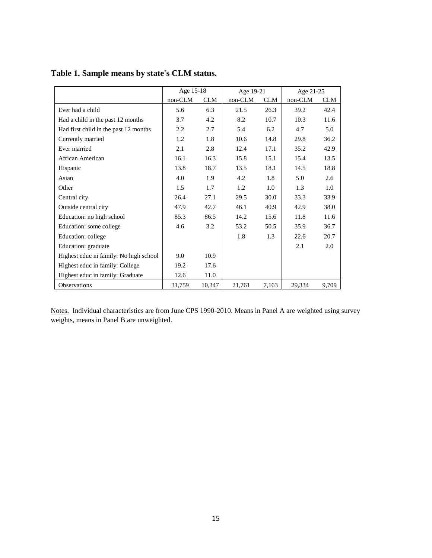|                                        | Age 15-18 |            | Age 19-21 |            | Age 21-25 |            |
|----------------------------------------|-----------|------------|-----------|------------|-----------|------------|
|                                        | non-CLM   | <b>CLM</b> | non-CLM   | <b>CLM</b> | non-CLM   | <b>CLM</b> |
| Ever had a child                       | 5.6       | 6.3        | 21.5      | 26.3       | 39.2      | 42.4       |
| Had a child in the past 12 months      | 3.7       | 4.2        | 8.2       | 10.7       | 10.3      | 11.6       |
| Had first child in the past 12 months  | 2.2       | 2.7        | 5.4       | 6.2        | 4.7       | 5.0        |
| Currently married                      | 1.2       | 1.8        | 10.6      | 14.8       | 29.8      | 36.2       |
| Ever married                           | 2.1       | 2.8        | 12.4      | 17.1       | 35.2      | 42.9       |
| African American                       | 16.1      | 16.3       | 15.8      | 15.1       | 15.4      | 13.5       |
| Hispanic                               | 13.8      | 18.7       | 13.5      | 18.1       | 14.5      | 18.8       |
| Asian                                  | 4.0       | 1.9        | 4.2       | 1.8        | 5.0       | 2.6        |
| Other                                  | 1.5       | 1.7        | 1.2       | 1.0        | 1.3       | 1.0        |
| Central city                           | 26.4      | 27.1       | 29.5      | 30.0       | 33.3      | 33.9       |
| Outside central city                   | 47.9      | 42.7       | 46.1      | 40.9       | 42.9      | 38.0       |
| Education: no high school              | 85.3      | 86.5       | 14.2      | 15.6       | 11.8      | 11.6       |
| Education: some college                | 4.6       | 3.2        | 53.2      | 50.5       | 35.9      | 36.7       |
| Education: college                     |           |            | 1.8       | 1.3        | 22.6      | 20.7       |
| Education: graduate                    |           |            |           |            | 2.1       | 2.0        |
| Highest educ in family: No high school | 9.0       | 10.9       |           |            |           |            |
| Highest educ in family: College        | 19.2      | 17.6       |           |            |           |            |
| Highest educ in family: Graduate       | 12.6      | 11.0       |           |            |           |            |
| <b>Observations</b>                    | 31,759    | 10,347     | 21,761    | 7,163      | 29,334    | 9,709      |

# **Table 1. Sample means by state's CLM status.**

Notes. Individual characteristics are from June CPS 1990-2010. Means in Panel A are weighted using survey weights, means in Panel B are unweighted.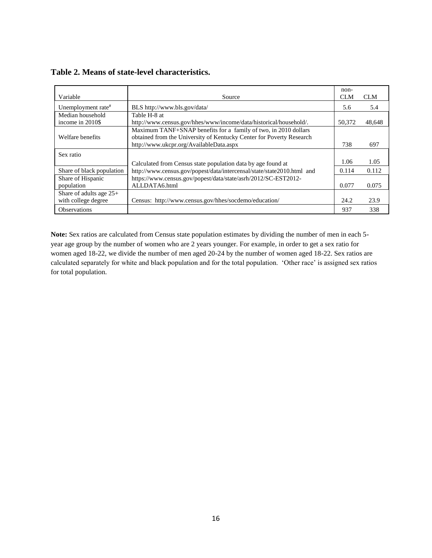| Variable                                         | Source                                                                                                                                                                             | non-<br><b>CLM</b> | <b>CLM</b> |
|--------------------------------------------------|------------------------------------------------------------------------------------------------------------------------------------------------------------------------------------|--------------------|------------|
| Unemployment rate <sup>#</sup>                   | BLS http://www.bls.gov/data/                                                                                                                                                       | 5.6                | 5.4        |
| Median household<br>income in 2010\$             | Table H-8 at<br>http://www.census.gov/hhes/www/income/data/historical/household/.                                                                                                  | 50,372             | 48,648     |
| Welfare benefits                                 | Maximum TANF+SNAP benefits for a family of two, in 2010 dollars<br>obtained from the University of Kentucky Center for Poverty Research<br>http://www.ukcpr.org/AvailableData.aspx | 738                | 697        |
| Sex ratio                                        |                                                                                                                                                                                    |                    |            |
|                                                  | Calculated from Census state population data by age found at                                                                                                                       | 1.06               | 1.05       |
| Share of black population                        | http://www.census.gov/popest/data/intercensal/state/state2010.html and                                                                                                             | 0.114              | 0.112      |
| Share of Hispanic                                | https://www.census.gov/popest/data/state/asrh/2012/SC-EST2012-                                                                                                                     |                    |            |
| population                                       | ALLDATA6.html                                                                                                                                                                      | 0.077              | 0.075      |
| Share of adults age $25+$<br>with college degree | Census: http://www.census.gov/hhes/socdemo/education/                                                                                                                              | 24.2               | 23.9       |
| <b>Observations</b>                              |                                                                                                                                                                                    | 937                | 338        |

**Table 2. Means of state-level characteristics.** 

**Note:** Sex ratios are calculated from Census state population estimates by dividing the number of men in each 5 year age group by the number of women who are 2 years younger. For example, in order to get a sex ratio for women aged 18-22, we divide the number of men aged 20-24 by the number of women aged 18-22. Sex ratios are calculated separately for white and black population and for the total population. 'Other race' is assigned sex ratios for total population.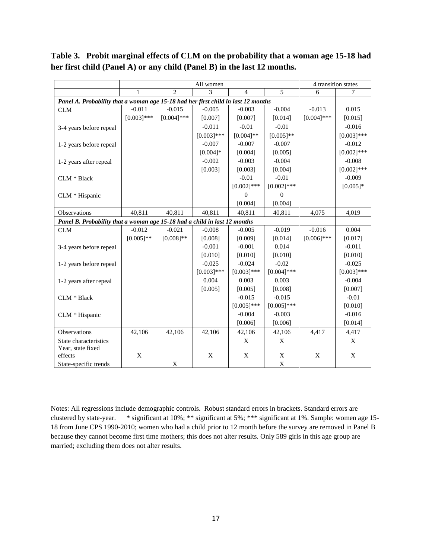**Table 3. Probit marginal effects of CLM on the probability that a woman age 15-18 had her first child (Panel A) or any child (Panel B) in the last 12 months.** 

|                                                                                   | All women     |                |               |                  |               | 4 transition states |               |  |
|-----------------------------------------------------------------------------------|---------------|----------------|---------------|------------------|---------------|---------------------|---------------|--|
|                                                                                   | 1             | $\overline{2}$ | 3             | 4                | 5             | 6                   | 7             |  |
| Panel A. Probability that a woman age 15-18 had her first child in last 12 months |               |                |               |                  |               |                     |               |  |
| CLM                                                                               | $-0.011$      | $-0.015$       | $-0.005$      | $-0.003$         | $-0.004$      | $-0.013$            | 0.015         |  |
|                                                                                   | $[0.003]$ *** | $[0.004]$ ***  | [0.007]       | [0.007]          | [0.014]       | $[0.004]$ ***       | [0.015]       |  |
| 3-4 years before repeal                                                           |               |                | $-0.011$      | $-0.01$          | $-0.01$       |                     | $-0.016$      |  |
|                                                                                   |               |                | $[0.003]$ *** | $[0.004]$ **     | $[0.005]$ **  |                     | $[0.003]***$  |  |
| 1-2 years before repeal                                                           |               |                | $-0.007$      | $-0.007$         | $-0.007$      |                     | $-0.012$      |  |
|                                                                                   |               |                | $[0.004]*$    | [0.004]          | [0.005]       |                     | $[0.002]$ *** |  |
| 1-2 years after repeal                                                            |               |                | $-0.002$      | $-0.003$         | $-0.004$      |                     | $-0.008$      |  |
|                                                                                   |               |                | [0.003]       | [0.003]          | [0.004]       |                     | $[0.002]$ *** |  |
| CLM * Black                                                                       |               |                |               | $-0.01$          | $-0.01$       |                     | $-0.009$      |  |
|                                                                                   |               |                |               | $[0.002]$ ***    | $[0.002]$ *** |                     | $[0.005]$ *   |  |
| CLM * Hispanic                                                                    |               |                |               | $\boldsymbol{0}$ | $\mathbf{0}$  |                     |               |  |
|                                                                                   |               |                |               | [0.004]          | [0.004]       |                     |               |  |
| <b>Observations</b>                                                               | 40,811        | 40,811         | 40,811        | 40,811           | 40,811        | 4,075               | 4,019         |  |
| Panel B. Probability that a woman age 15-18 had a child in last 12 months         |               |                |               |                  |               |                     |               |  |
| <b>CLM</b>                                                                        | $-0.012$      | $-0.021$       | $-0.008$      | $-0.005$         | $-0.019$      | $-0.016$            | 0.004         |  |
|                                                                                   | $[0.005]$ **  | $[0.008]**$    | [0.008]       | [0.009]          | [0.014]       | $[0.006]$ ***       | [0.017]       |  |
| 3-4 years before repeal                                                           |               |                | $-0.001$      | $-0.001$         | 0.014         |                     | $-0.011$      |  |
|                                                                                   |               |                | [0.010]       | [0.010]          | [0.010]       |                     | [0.010]       |  |
| 1-2 years before repeal                                                           |               |                | $-0.025$      | $-0.024$         | $-0.02$       |                     | $-0.025$      |  |
|                                                                                   |               |                | $[0.003]$ *** | $[0.003]$ ***    | $[0.004]$ *** |                     | $[0.003]$ *** |  |
| 1-2 years after repeal                                                            |               |                | 0.004         | 0.003            | 0.003         |                     | $-0.004$      |  |
|                                                                                   |               |                | [0.005]       | [0.005]          | [0.008]       |                     | [0.007]       |  |
| CLM * Black                                                                       |               |                |               | $-0.015$         | $-0.015$      |                     | $-0.01$       |  |
|                                                                                   |               |                |               | $[0.005]$ ***    | $[0.005]$ *** |                     | [0.010]       |  |
| CLM * Hispanic                                                                    |               |                |               | $-0.004$         | $-0.003$      |                     | $-0.016$      |  |
|                                                                                   |               |                |               | [0.006]          | [0.006]       |                     | [0.014]       |  |
| Observations                                                                      | 42,106        | 42,106         | 42,106        | 42,106           | 42,106        | 4,417               | 4,417         |  |
| State characteristics                                                             |               |                |               | X                | $\mathbf X$   |                     | X             |  |
| Year, state fixed                                                                 |               |                |               |                  |               |                     |               |  |
| effects                                                                           | $\mathbf X$   |                | $\mathbf X$   | X                | $\mathbf X$   | X                   | X             |  |
| State-specific trends                                                             |               | X              |               |                  | $\mathbf X$   |                     |               |  |

Notes: All regressions include demographic controls. Robust standard errors in brackets. Standard errors are clustered by state-year. \* significant at 10%; \*\* significant at 5%; \*\*\* significant at 1%. Sample: women age 15- 18 from June CPS 1990-2010; women who had a child prior to 12 month before the survey are removed in Panel B because they cannot become first time mothers; this does not alter results. Only 589 girls in this age group are married; excluding them does not alter results.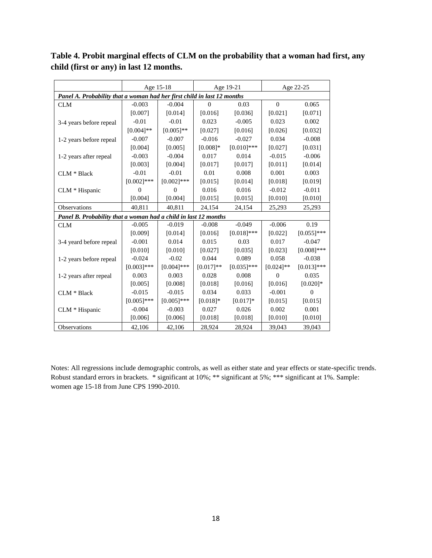**Table 4. Probit marginal effects of CLM on the probability that a woman had first, any child (first or any) in last 12 months.**

|                                                                         | Age 15-18      |               | Age 19-21   |               | Age 22-25      |               |  |  |
|-------------------------------------------------------------------------|----------------|---------------|-------------|---------------|----------------|---------------|--|--|
| Panel A. Probability that a woman had her first child in last 12 months |                |               |             |               |                |               |  |  |
| <b>CLM</b>                                                              | $-0.003$       | $-0.004$      | 0           | 0.03          | $\theta$       | 0.065         |  |  |
|                                                                         | [0.007]        | [0.014]       | [0.016]     | [0.036]       | [0.021]        | [0.071]       |  |  |
| 3-4 years before repeal                                                 | $-0.01$        | $-0.01$       | 0.023       | $-0.005$      | 0.023          | 0.002         |  |  |
|                                                                         | $[0.004]$ **   | $[0.005]$ **  | [0.027]     | [0.016]       | [0.026]        | [0.032]       |  |  |
| 1-2 years before repeal                                                 | $-0.007$       | $-0.007$      | $-0.016$    | $-0.027$      | 0.034          | $-0.008$      |  |  |
|                                                                         | [0.004]        | [0.005]       | $[0.008]*$  | $[0.010]$ *** | [0.027]        | [0.031]       |  |  |
| 1-2 years after repeal                                                  | $-0.003$       | $-0.004$      | 0.017       | 0.014         | $-0.015$       | $-0.006$      |  |  |
|                                                                         | [0.003]        | [0.004]       | [0.017]     | [0.017]       | [0.011]        | [0.014]       |  |  |
| CLM * Black                                                             | $-0.01$        | $-0.01$       | 0.01        | 0.008         | 0.001          | 0.003         |  |  |
|                                                                         | $[0.002]$ ***  | $[0.002]$ *** | [0.015]     | [0.014]       | [0.018]        | [0.019]       |  |  |
| CLM * Hispanic                                                          | $\overline{0}$ | $\Omega$      | 0.016       | 0.016         | $-0.012$       | $-0.011$      |  |  |
|                                                                         | [0.004]        | [0.004]       | [0.015]     | [0.015]       | [0.010]        | [0.010]       |  |  |
| Observations                                                            | 40,811         | 40,811        | 24,154      | 24,154        | 25,293         | 25,293        |  |  |
| Panel B. Probability that a woman had a child in last 12 months         |                |               |             |               |                |               |  |  |
| <b>CLM</b>                                                              | $-0.005$       | $-0.019$      | $-0.008$    | $-0.049$      | $-0.006$       | 0.19          |  |  |
|                                                                         | [0.009]        | [0.014]       | [0.016]     | $[0.018]***$  | [0.022]        | $[0.055]$ *** |  |  |
| 3-4 yeard before repeal                                                 | $-0.001$       | 0.014         | 0.015       | 0.03          | 0.017          | $-0.047$      |  |  |
|                                                                         | [0.010]        | [0.010]       | [0.027]     | [0.035]       | [0.023]        | $[0.008]$ *** |  |  |
| 1-2 years before repeal                                                 | $-0.024$       | $-0.02$       | 0.044       | 0.089         | 0.058          | $-0.038$      |  |  |
|                                                                         | $[0.003]$ ***  | $[0.004]$ *** | $[0.017]**$ | $[0.035]$ *** | $[0.024]$ **   | $[0.013]***$  |  |  |
| 1-2 years after repeal                                                  | 0.003          | 0.003         | 0.028       | 0.008         | $\overline{0}$ | 0.035         |  |  |
|                                                                         | [0.005]        | [0.008]       | [0.018]     | [0.016]       | [0.016]        | $[0.020]*$    |  |  |
| $CLM * Black$                                                           | $-0.015$       | $-0.015$      | 0.034       | 0.033         | $-0.001$       | $\theta$      |  |  |
|                                                                         | $[0.005]$ ***  | $[0.005]$ *** | $[0.018]*$  | $[0.017]*$    | [0.015]        | [0.015]       |  |  |
| CLM * Hispanic                                                          | $-0.004$       | $-0.003$      | 0.027       | 0.026         | 0.002          | 0.001         |  |  |
|                                                                         | [0.006]        | [0.006]       | [0.018]     | [0.018]       | [0.010]        | [0.010]       |  |  |
| Observations                                                            | 42,106         | 42,106        | 28,924      | 28,924        | 39,043         | 39,043        |  |  |

Notes: All regressions include demographic controls, as well as either state and year effects or state-specific trends. Robust standard errors in brackets. \* significant at 10%; \*\* significant at 5%; \*\*\* significant at 1%. Sample: women age 15-18 from June CPS 1990-2010.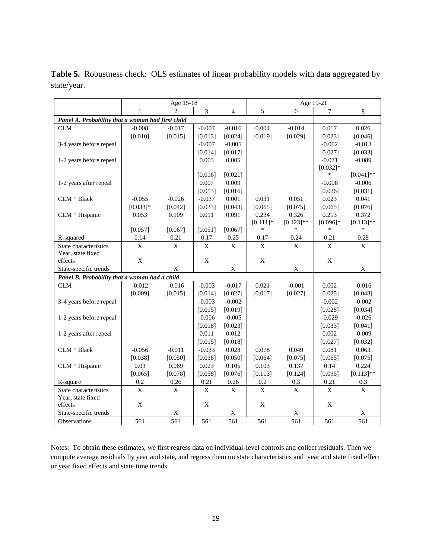|                                                   | Age 15-18               |                         |             | Age 19-21      |             |                         |                |                         |
|---------------------------------------------------|-------------------------|-------------------------|-------------|----------------|-------------|-------------------------|----------------|-------------------------|
|                                                   | $\mathbf{1}$            | $\mathfrak{D}$          | 3           | $\overline{4}$ | 5           | 6                       | $\overline{7}$ | 8                       |
| Panel A. Probability that a woman had first child |                         |                         |             |                |             |                         |                |                         |
| <b>CLM</b>                                        | $-0.008$                | $-0.017$                | $-0.007$    | $-0.016$       | 0.004       | $-0.014$                | 0.017          | 0.026                   |
|                                                   | [0.010]                 | [0.015]                 | [0.013]     | [0.024]        | [0.019]     | [0.029]                 | [0.023]        | [0.046]                 |
| 3-4 years before repeal                           |                         |                         | $-0.007$    | $-0.005$       |             |                         | $-0.002$       | $-0.013$                |
|                                                   |                         |                         | [0.014]     | [0.017]        |             |                         | [0.027]        | [0.033]                 |
| 1-2 years before repeal                           |                         |                         | 0.003       | 0.005          |             |                         | $-0.071$       | $-0.089$                |
|                                                   |                         |                         |             |                |             |                         | $[0.032]*$     |                         |
|                                                   |                         |                         | [0.016]     | [0.021]        |             |                         | ∗              | $[0.041]$ **            |
| 1-2 years after repeal                            |                         |                         | 0.007       | 0.009          |             |                         | $-0.008$       | $-0.006$                |
|                                                   |                         |                         | [0.013]     | [0.016]        |             |                         | [0.026]        | [0.031]                 |
| CLM * Black                                       | $-0.055$                | $-0.026$                | $-0.037$    | 0.001          | 0.031       | 0.051                   | 0.023          | 0.041                   |
|                                                   | $[0.033]*$              | [0.042]                 | [0.033]     | [0.043]        | [0.065]     | [0.075]                 | [0.065]        | [0.076]                 |
| CLM * Hispanic                                    | 0.053                   | 0.109                   | 0.011       | 0.091          | 0.234       | 0.326                   | 0.213          | 0.372                   |
|                                                   |                         |                         |             |                | $[0.111]$ * | $[0.123]$ **            | $[0.096]*$     | $[0.113]$ **            |
|                                                   | [0.057]                 | [0.067]                 | [0.051]     | [0.067]        | $\ast$      | $\ast$                  | $\ast$         | $\ast$                  |
| R-squared                                         | 0.14                    | 0.21                    | 0.17        | 0.25           | 0.17        | 0.24                    | 0.21           | 0.28                    |
| State characteristics                             | $\bar{X}$               | $\mathbf X$             | $\mathbf X$ | $\mathbf X$    | $\mathbf X$ | $\mathbf X$             | $\mathbf X$    | $\mathbf X$             |
| Year, state fixed                                 |                         |                         |             |                |             |                         |                |                         |
| effects                                           | $\mathbf X$             |                         | $\mathbf X$ |                | X           |                         | $\mathbf X$    |                         |
| State-specific trends                             |                         | $\mathbf X$             |             | $\mathbf X$    |             | X                       |                | $\mathbf X$             |
| Panel B. Probability that a woman had a child     |                         |                         |             |                |             |                         |                |                         |
| CLM                                               | $-0.012$                | $-0.016$                | $-0.003$    | $-0.017$       | 0.021       | $-0.001$                | 0.002          | $-0.016$                |
|                                                   | [0.009]                 | [0.015]                 | [0.014]     | [0.027]        | [0.017]     | [0.027]                 | [0.025]        | [0.048]                 |
| 3-4 years before repeal                           |                         |                         | $-0.003$    | $-0.002$       |             |                         | $-0.002$       | $-0.002$                |
|                                                   |                         |                         | [0.015]     | [0.019]        |             |                         | [0.028]        | [0.034]                 |
| 1-2 years before repeal                           |                         |                         | $-0.006$    | $-0.005$       |             |                         | $-0.029$       | $-0.026$                |
|                                                   |                         |                         | [0.018]     | [0.023]        |             |                         | [0.033]        | [0.041]                 |
| 1-2 years after repeal                            |                         |                         | 0.011       | 0.012          |             |                         | 0.002          | $-0.009$                |
|                                                   |                         |                         | [0.015]     | [0.018]        |             |                         | [0.027]        | [0.032]                 |
| CLM * Black                                       | $-0.056$                | $-0.011$                | $-0.033$    | 0.028          | 0.078       | 0.049                   | 0.081          | 0.063                   |
|                                                   | [0.038]                 | [0.050]                 | [0.038]     | [0.050]        | [0.064]     | [0.075]                 | [0.065]        | [0.075]                 |
| CLM * Hispanic                                    | 0.03                    | 0.069                   | 0.023       | 0.105          | 0.103       | 0.137                   | 0.14           | 0.224                   |
|                                                   | [0.065]                 | [0.078]                 | [0.058]     | [0.076]        | [0.113]     | [0.124]                 | [0.095]        | $[0.113]$ **            |
| R-square                                          | 0.2                     | 0.26                    | 0.21        | 0.26           | 0.2         | 0.3                     | 0.21           | 0.3                     |
| State characteristics                             | $\overline{\mathrm{X}}$ | $\overline{\mathrm{X}}$ | X           | $\bar{X}$      | X           | $\overline{\mathrm{X}}$ | X              | $\overline{\mathbf{X}}$ |
| Year, state fixed                                 |                         |                         |             |                |             |                         |                |                         |
| effects                                           | $\mathbf X$             |                         | X           |                | $\mathbf X$ |                         | X              |                         |
| State-specific trends                             |                         | $\mathbf X$             |             | $\mathbf X$    |             | $\mathbf X$             |                | $\mathbf X$             |
| Observations                                      | 561                     | 561                     | 561         | 561            | 561         | 561                     | 561            | 561                     |

Table 5. Robustness check: OLS estimates of linear probability models with data aggregated by state/year.

Notes: To obtain these estimates, we first regress data on individual-level controls and collect residuals. Then we compute average residuals by year and state, and regress them on state characteristics and year and state fixed effect or year fixed effects and state time trends.